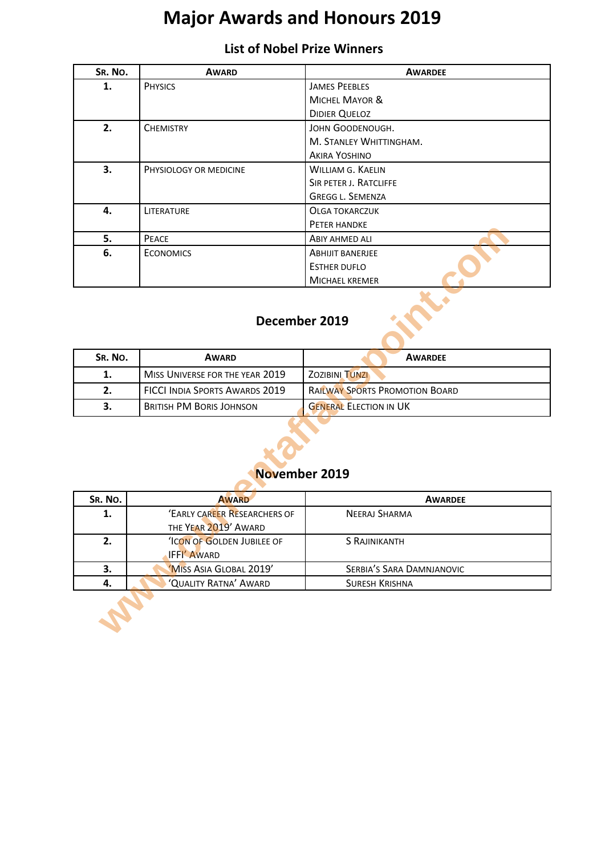# **Major Awards and Honours 2019**

### **List of Nobel Prize Winners**

| SR. No. | <b>AWARD</b>           | <b>AWARDEE</b>            |  |
|---------|------------------------|---------------------------|--|
| 1.      | <b>PHYSICS</b>         | <b>JAMES PEEBLES</b>      |  |
|         |                        | <b>MICHEL MAYOR &amp;</b> |  |
|         |                        | <b>DIDIER QUELOZ</b>      |  |
| 2.      | <b>CHEMISTRY</b>       | JOHN GOODENOUGH.          |  |
|         |                        | M. STANLEY WHITTINGHAM.   |  |
|         |                        | <b>AKIRA YOSHINO</b>      |  |
| 3.      | PHYSIOLOGY OR MEDICINE | WILLIAM G. KAELIN         |  |
|         |                        | SIR PETER J. RATCLIFFE    |  |
|         |                        | <b>GREGG L. SEMENZA</b>   |  |
| 4.      | LITERATURE             | <b>OLGA TOKARCZUK</b>     |  |
|         |                        | PETER HANDKE              |  |
| 5.      | PEACE                  | ABIY AHMED ALI            |  |
| 6.      | <b>ECONOMICS</b>       | <b>ABHIJIT BANERJEE</b>   |  |
|         |                        | <b>ESTHER DUFLO</b>       |  |
|         |                        | <b>MICHAEL KREMER</b>     |  |

# **December 2019**

| SR. NO. | <b>AWARD</b>                          | <b>AWARDEE</b>                        |
|---------|---------------------------------------|---------------------------------------|
| ı.      | MISS UNIVERSE FOR THE YEAR 2019       | <b>ZOZIBINI TUNZI</b>                 |
| 2.      | <b>FICCI INDIA SPORTS AWARDS 2019</b> | <b>RAILWAY SPORTS PROMOTION BOARD</b> |
|         | <b>BRITISH PM BORIS JOHNSON</b>       | <b>GENERAL ELECTION IN UK</b>         |

#### **November 2019**

| 5.<br>6.      | PEACE<br><b>ECONOMICS</b>             | ABIY AHMED ALI                        |  |  |
|---------------|---------------------------------------|---------------------------------------|--|--|
|               |                                       |                                       |  |  |
|               |                                       | <b>ABHIJIT BANERJEE</b>               |  |  |
|               |                                       | <b>ESTHER DUFLO</b>                   |  |  |
|               |                                       | <b>MICHAEL KREMER</b>                 |  |  |
| December 2019 |                                       |                                       |  |  |
| SR. No.       | <b>AWARD</b>                          | <b>AWARDEE</b>                        |  |  |
| 1.            | MISS UNIVERSE FOR THE YEAR 2019       | <b>ZOZIBINI TUNZI</b>                 |  |  |
| 2.            | <b>FICCI INDIA SPORTS AWARDS 2019</b> | <b>RAILWAY SPORTS PROMOTION BOARD</b> |  |  |
| 3.            | <b>BRITISH PM BORIS JOHNSON</b>       | <b>GENERAL ELECTION IN UK</b>         |  |  |
|               |                                       | November 2019                         |  |  |
| SR. No.       | <b>AWARD</b>                          | <b>AWARDEE</b>                        |  |  |
| 1.            | 'EARLY CAREER RESEARCHERS OF          | <b>NEERAJ SHARMA</b>                  |  |  |
|               | THE YEAR 2019' AWARD                  |                                       |  |  |
|               |                                       |                                       |  |  |
| 2.            | <b>ICON OF GOLDEN JUBILEE OF</b>      | <b>S RAJINIKANTH</b>                  |  |  |
|               | <b>IFFI' AWARD</b>                    |                                       |  |  |
| 3.            | 'MISS ASIA GLOBAL 2019'               | SERBIA'S SARA DAMNJANOVIC             |  |  |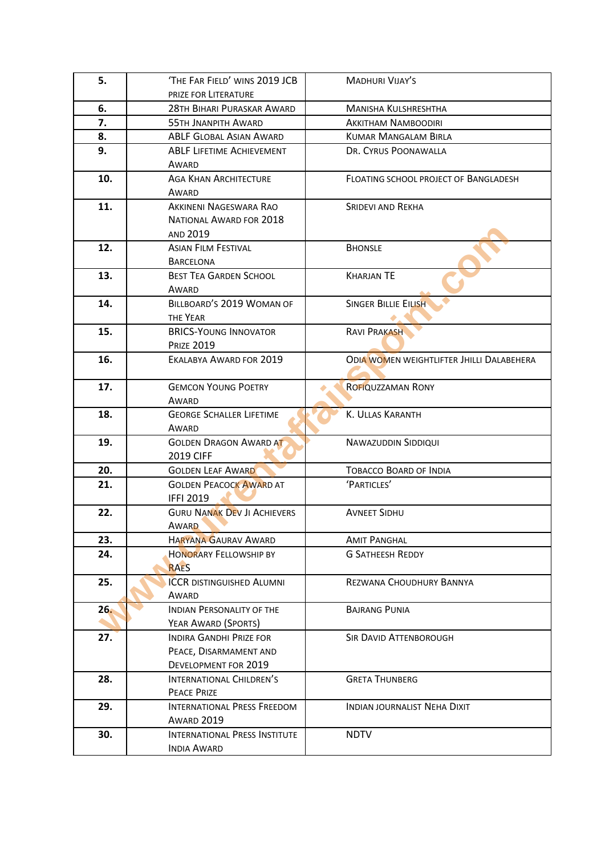| 5.  | 'THE FAR FIELD' WINS 2019 JCB               | <b>MADHURI VIJAY'S</b>                           |
|-----|---------------------------------------------|--------------------------------------------------|
|     | PRIZE FOR LITERATURE                        |                                                  |
| 6.  | 28TH BIHARI PURASKAR AWARD                  | <b>MANISHA KULSHRESHTHA</b>                      |
| 7.  | <b>55TH JNANPITH AWARD</b>                  | <b>AKKITHAM NAMBOODIRI</b>                       |
| 8.  | ABLF GLOBAL ASIAN AWARD                     | <b>KUMAR MANGALAM BIRLA</b>                      |
| 9.  | <b>ABLF LIFETIME ACHIEVEMENT</b>            | DR. CYRUS POONAWALLA                             |
|     | AWARD                                       |                                                  |
| 10. | <b>AGA KHAN ARCHITECTURE</b>                | FLOATING SCHOOL PROJECT OF BANGLADESH            |
|     | AWARD                                       |                                                  |
| 11. | AKKINENI NAGESWARA RAO                      | <b>SRIDEVI AND REKHA</b>                         |
|     | NATIONAL AWARD FOR 2018                     |                                                  |
|     | AND 2019                                    |                                                  |
| 12. | <b>ASIAN FILM FESTIVAL</b>                  | <b>BHONSLE</b>                                   |
|     | <b>BARCELONA</b>                            |                                                  |
| 13. | <b>BEST TEA GARDEN SCHOOL</b>               | <b>KHARJAN TE</b>                                |
|     | AWARD                                       |                                                  |
| 14. | BILLBOARD'S 2019 WOMAN OF                   | <b>SINGER BILLIE EILISH</b>                      |
|     | THE YEAR                                    |                                                  |
| 15. | <b>BRICS-YOUNG INNOVATOR</b>                | <b>RAVI PRAKASH</b>                              |
|     | <b>PRIZE 2019</b>                           |                                                  |
| 16. | EKALABYA AWARD FOR 2019                     | <b>ODIA WOMEN WEIGHTLIFTER JHILLI DALABEHERA</b> |
|     |                                             |                                                  |
| 17. | <b>GEMCON YOUNG POETRY</b>                  | <b>ROFIQUZZAMAN RONY</b>                         |
|     | AWARD                                       |                                                  |
| 18. | <b>GEORGE SCHALLER LIFETIME</b>             | K. ULLAS KARANTH                                 |
|     | AWARD                                       |                                                  |
| 19. | <b>GOLDEN DRAGON AWARD AT</b>               | <b>NAWAZUDDIN SIDDIQUI</b>                       |
|     | 2019 CIFF                                   |                                                  |
| 20. | <b>GOLDEN LEAF AWARD</b>                    | <b>TOBACCO BOARD OF INDIA</b>                    |
| 21. | <b>GOLDEN PEACOCK AWARD AT</b>              | 'PARTICLES'                                      |
|     | <b>IFFI 2019</b>                            |                                                  |
| 22. | <b>GURU NANAK DEV JI ACHIEVERS</b><br>AWARD | <b>AVNEET SIDHU</b>                              |
| 23. | <b>HARYANA GAURAV AWARD</b>                 | <b>AMIT PANGHAL</b>                              |
| 24. | <b>HONORARY FELLOWSHIP BY</b>               | <b>G SATHEESH REDDY</b>                          |
|     | <b>RAES</b>                                 |                                                  |
| 25. | <b>ICCR DISTINGUISHED ALUMNI</b>            | REZWANA CHOUDHURY BANNYA                         |
|     | AWARD                                       |                                                  |
| 26. | <b>INDIAN PERSONALITY OF THE</b>            | <b>BAJRANG PUNIA</b>                             |
|     | YEAR AWARD (SPORTS)                         |                                                  |
| 27. | <b>INDIRA GANDHI PRIZE FOR</b>              | <b>SIR DAVID ATTENBOROUGH</b>                    |
|     | PEACE, DISARMAMENT AND                      |                                                  |
|     | DEVELOPMENT FOR 2019                        |                                                  |
| 28. | INTERNATIONAL CHILDREN'S                    | <b>GRETA THUNBERG</b>                            |
|     | PEACE PRIZE                                 |                                                  |
| 29. | INTERNATIONAL PRESS FREEDOM                 | <b>INDIAN JOURNALIST NEHA DIXIT</b>              |
|     | <b>AWARD 2019</b>                           |                                                  |
| 30. | INTERNATIONAL PRESS INSTITUTE               | <b>NDTV</b>                                      |
|     | <b>INDIA AWARD</b>                          |                                                  |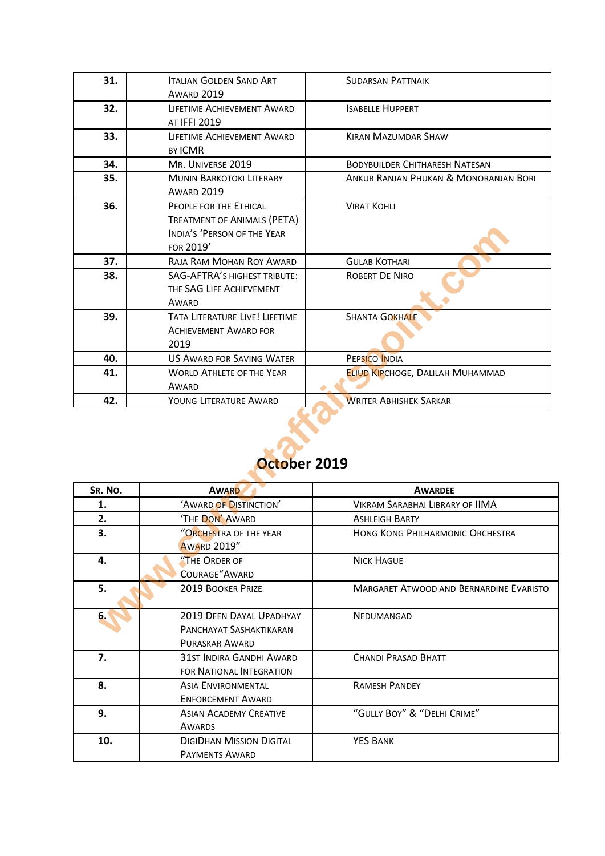| 31.     | <b>ITALIAN GOLDEN SAND ART</b><br><b>AWARD 2019</b> | <b>SUDARSAN PATTNAIK</b>                |
|---------|-----------------------------------------------------|-----------------------------------------|
| 32.     | LIFETIME ACHIEVEMENT AWARD<br>AT IFFI 2019          | <b>ISABELLE HUPPERT</b>                 |
| 33.     | LIFETIME ACHIEVEMENT AWARD<br><b>BY ICMR</b>        | <b>KIRAN MAZUMDAR SHAW</b>              |
| 34.     | MR. UNIVERSE 2019                                   | <b>BODYBUILDER CHITHARESH NATESAN</b>   |
| 35.     | <b>MUNIN BARKOTOKI LITERARY</b>                     | ANKUR RANJAN PHUKAN & MONORANJAN BORI   |
|         | <b>AWARD 2019</b>                                   |                                         |
| 36.     | PEOPLE FOR THE ETHICAL                              | <b>VIRAT KOHLI</b>                      |
|         | TREATMENT OF ANIMALS (PETA)                         |                                         |
|         | INDIA'S 'PERSON OF THE YEAR                         |                                         |
|         | FOR 2019'                                           |                                         |
| 37.     | RAJA RAM MOHAN ROY AWARD                            | <b>GULAB KOTHARI</b>                    |
| 38.     | <b>SAG-AFTRA'S HIGHEST TRIBUTE:</b>                 | <b>ROBERT DE NIRO</b>                   |
|         | THE SAG LIFE ACHIEVEMENT                            |                                         |
|         | AWARD                                               |                                         |
| 39.     | TATA LITERATURE LIVE! LIFETIME                      | <b>SHANTA GOKHALE</b>                   |
|         | <b>ACHIEVEMENT AWARD FOR</b>                        |                                         |
|         | 2019                                                |                                         |
| 40.     | <b>US AWARD FOR SAVING WATER</b>                    | PEPSICO INDIA                           |
| 41.     | <b>WORLD ATHLETE OF THE YEAR</b>                    | <b>ELIUD KIPCHOGE, DALILAH MUHAMMAD</b> |
| 42.     | AWARD                                               |                                         |
|         | YOUNG LITERATURE AWARD                              | <b>WRITER ABHISHEK SARKAR</b>           |
|         | October 2019                                        |                                         |
| SR. NO. | <b>AWARD</b>                                        | <b>AWARDEE</b>                          |
| 1.      | 'AWARD OF DISTINCTION'                              | <b>VIKRAM SARABHAI LIBRARY OF IIMA</b>  |
| 2.      | 'THE DON' AWARD                                     | <b>ASHLEIGH BARTY</b>                   |
| 3.      | "ORCHESTRA OF THE YEAR<br><b>AWARD 2019"</b>        | HONG KONG PHILHARMONIC ORCHESTRA        |
| 4.      | "THE ORDER OF                                       | <b>NICK HAGUE</b>                       |
|         | COURAGE"AWARD                                       |                                         |
| 5.      | <b>2019 BOOKER PRIZE</b>                            | MARGARET ATWOOD AND BERNARDINE EVARISTO |
| 6.      | 2019 DEEN DAYAL UPADHYAY<br>PANCHAYAT SASHAKTIKARAN | NEDUMANGAD                              |

# **October 2019**

| SR. NO. | <b>AWARD</b>                                                          | <b>AWARDEE</b>                                 |
|---------|-----------------------------------------------------------------------|------------------------------------------------|
| 1.      | 'AWARD OF DISTINCTION'                                                | <b>VIKRAM SARABHAI LIBRARY OF IIMA</b>         |
| 2.      | 'THE DON' AWARD                                                       | <b>ASHLEIGH BARTY</b>                          |
| 3.      | "ORCHESTRA OF THE YEAR<br><b>AWARD 2019"</b>                          | <b>HONG KONG PHILHARMONIC ORCHESTRA</b>        |
| 4.      | "THE ORDER OF<br>COURAGE"AWARD                                        | <b>NICK HAGUE</b>                              |
| 5.      | <b>2019 BOOKER PRIZE</b>                                              | <b>MARGARET ATWOOD AND BERNARDINE EVARISTO</b> |
| 6.      | 2019 DEEN DAYAL UPADHYAY<br>PANCHAYAT SASHAKTIKARAN<br>PURASKAR AWARD | <b>NEDUMANGAD</b>                              |
| 7.      | 31ST INDIRA GANDHI AWARD<br><b>FOR NATIONAL INTEGRATION</b>           | CHANDI PRASAD BHATT                            |
| 8.      | <b>ASIA ENVIRONMENTAL</b><br><b>ENFORCEMENT AWARD</b>                 | <b>RAMESH PANDEY</b>                           |
| 9.      | <b>ASIAN ACADEMY CREATIVE</b><br>AWARDS                               | "GULLY BOY" & "DELHI CRIME"                    |
| 10.     | <b>DIGIDHAN MISSION DIGITAL</b><br><b>PAYMENTS AWARD</b>              | <b>YES BANK</b>                                |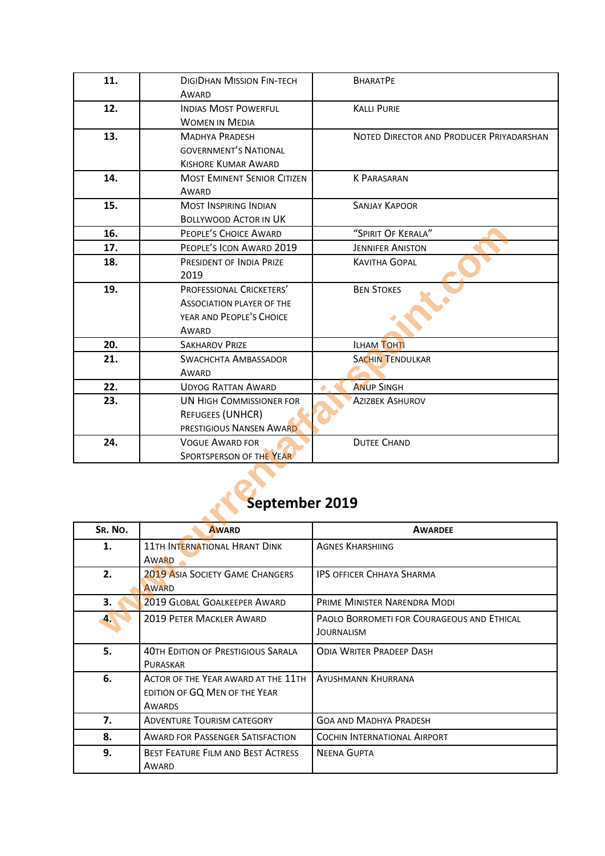| 11.              | <b>DIGIDHAN MISSION FIN-TECH</b>       | <b>BHARATPE</b>                            |
|------------------|----------------------------------------|--------------------------------------------|
|                  | AWARD                                  |                                            |
| 12.              | <b>INDIAS MOST POWERFUL</b>            | <b>KALLI PURIE</b>                         |
|                  | <b>WOMEN IN MEDIA</b>                  |                                            |
| 13.              | <b>MADHYA PRADESH</b>                  | NOTED DIRECTOR AND PRODUCER PRIYADARSHAN   |
|                  | <b>GOVERNMENT'S NATIONAL</b>           |                                            |
|                  | <b>KISHORE KUMAR AWARD</b>             |                                            |
| 14.              | <b>MOST EMINENT SENIOR CITIZEN</b>     | <b>K PARASARAN</b>                         |
|                  | AWARD                                  |                                            |
| 15.              | <b>MOST INSPIRING INDIAN</b>           | <b>SANJAY KAPOOR</b>                       |
|                  | <b>BOLLYWOOD ACTOR IN UK</b>           |                                            |
| 16.              | PEOPLE'S CHOICE AWARD                  | "SPIRIT OF KERALA"                         |
| 17.              | PEOPLE'S ICON AWARD 2019               | <b>JENNIFER ANISTON</b>                    |
| 18.              | PRESIDENT OF INDIA PRIZE               | <b>KAVITHA GOPAL</b>                       |
|                  | 2019                                   |                                            |
| 19.              | PROFESSIONAL CRICKETERS'               | <b>BEN STOKES</b>                          |
|                  | <b>ASSOCIATION PLAYER OF THE</b>       |                                            |
|                  | YEAR AND PEOPLE'S CHOICE               |                                            |
|                  | AWARD                                  |                                            |
| 20.              | <b>SAKHAROV PRIZE</b>                  | <b>ILHAM TOHTI</b>                         |
| 21.              | <b>SWACHCHTA AMBASSADOR</b>            | <b>SACHIN TENDULKAR</b>                    |
|                  | AWARD                                  |                                            |
| 22.              | <b>UDYOG RATTAN AWARD</b>              | <b>ANUP SINGH</b>                          |
| 23.              | <b>UN HIGH COMMISSIONER FOR</b>        | <b>AZIZBEK ASHUROV</b>                     |
|                  | REFUGEES (UNHCR)                       |                                            |
|                  | PRESTIGIOUS NANSEN AWARD               |                                            |
| 24.              | <b>VOGUE AWARD FOR</b>                 | <b>DUTEE CHAND</b>                         |
|                  | SPORTSPERSON OF THE YEAR               |                                            |
| September 2019   |                                        |                                            |
| SR. NO.          | <b>AWARD</b>                           | <b>AWARDEE</b>                             |
| 1.               | 11TH INTERNATIONAL HRANT DINK          | <b>AGNES KHARSHIING</b>                    |
|                  | AWARD                                  |                                            |
| 2.               | <b>2019 ASIA SOCIETY GAME CHANGERS</b> | <b>IPS OFFICER CHHAYA SHARMA</b>           |
|                  | <b>AWARD</b>                           |                                            |
| 3.               | 2019 GLOBAL GOALKEEPER AWARD           | PRIME MINISTER NARENDRA MODI               |
| $\blacktriangle$ | 2019 PETER MACKLER AWARD               | PAOLO BORROMETI FOR COURAGEOUS AND ETHICAL |
|                  |                                        | JOURNALISM                                 |

### **September 2019**

| SR. NO.              | <b>AWARD</b>                              | <b>AWARDEE</b>                                    |
|----------------------|-------------------------------------------|---------------------------------------------------|
| 1.                   | 11TH INTERNATIONAL HRANT DINK             | <b>AGNES KHARSHIING</b>                           |
|                      | AWARD                                     |                                                   |
| 2.                   | <b>2019 ASIA SOCIETY GAME CHANGERS</b>    | <b>IPS OFFICER CHHAYA SHARMA</b>                  |
|                      | <b>AWARD</b>                              |                                                   |
| 3.                   | 2019 GLOBAL GOALKEEPER AWARD              | PRIME MINISTER NARENDRA MODI                      |
| $\blacktriangleleft$ | <b>2019 PETER MACKLER AWARD</b>           | <b>PAOLO BORROMETI FOR COURAGEOUS AND ETHICAL</b> |
|                      |                                           | JOURNALISM                                        |
| 5.                   | <b>40TH EDITION OF PRESTIGIOUS SARALA</b> | <b>ODIA WRITER PRADEEP DASH</b>                   |
|                      | <b>PURASKAR</b>                           |                                                   |
| 6.                   | ACTOR OF THE YEAR AWARD AT THE 11TH       | <b>AYUSHMANN KHURRANA</b>                         |
|                      | EDITION OF GQ MEN OF THE YEAR             |                                                   |
|                      | AWARDS                                    |                                                   |
| 7.                   | <b>ADVENTURE TOURISM CATEGORY</b>         | <b>GOA AND MADHYA PRADESH</b>                     |
| 8.                   | <b>AWARD FOR PASSENGER SATISFACTION</b>   | COCHIN INTERNATIONAL AIRPORT                      |
| 9.                   | <b>BEST FEATURE FILM AND BEST ACTRESS</b> | <b>NEENA GUPTA</b>                                |
|                      | AWARD                                     |                                                   |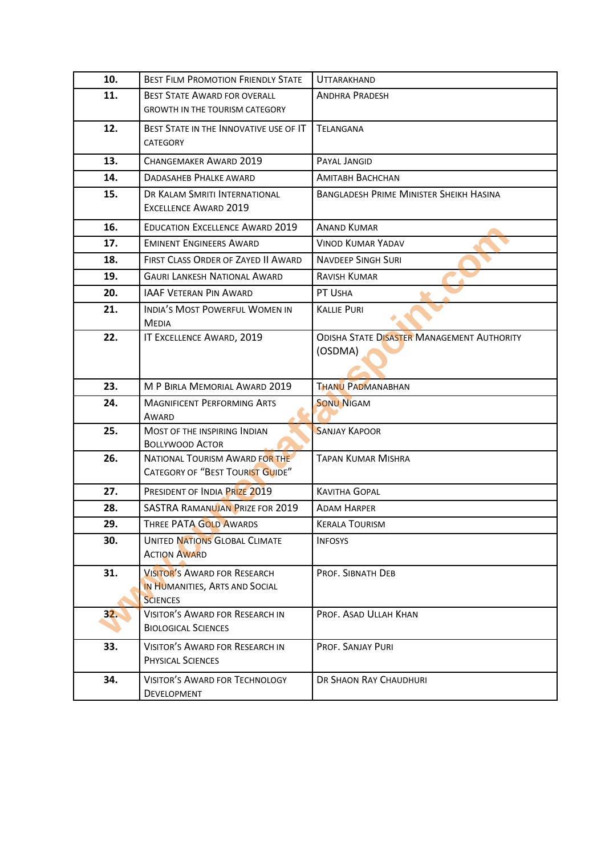| 10. | <b>BEST FILM PROMOTION FRIENDLY STATE</b>                                                | <b>UTTARAKHAND</b>                                           |
|-----|------------------------------------------------------------------------------------------|--------------------------------------------------------------|
| 11. |                                                                                          |                                                              |
|     | <b>BEST STATE AWARD FOR OVERALL</b><br><b>GROWTH IN THE TOURISM CATEGORY</b>             | <b>ANDHRA PRADESH</b>                                        |
|     |                                                                                          |                                                              |
| 12. | BEST STATE IN THE INNOVATIVE USE OF IT<br>CATEGORY                                       | <b>TELANGANA</b>                                             |
| 13. | CHANGEMAKER AWARD 2019                                                                   | PAYAL JANGID                                                 |
| 14. | <b>DADASAHEB PHALKE AWARD</b>                                                            | <b>AMITABH BACHCHAN</b>                                      |
| 15. | DR KALAM SMRITI INTERNATIONAL<br><b>EXCELLENCE AWARD 2019</b>                            | <b>BANGLADESH PRIME MINISTER SHEIKH HASINA</b>               |
| 16. | <b>EDUCATION EXCELLENCE AWARD 2019</b>                                                   | <b>ANAND KUMAR</b>                                           |
| 17. | <b>EMINENT ENGINEERS AWARD</b>                                                           | <b>VINOD KUMAR YADAV</b>                                     |
| 18. | FIRST CLASS ORDER OF ZAYED II AWARD                                                      | <b>NAVDEEP SINGH SURI</b>                                    |
| 19. | <b>GAURI LANKESH NATIONAL AWARD</b>                                                      | <b>RAVISH KUMAR</b>                                          |
| 20. | <b>IAAF VETERAN PIN AWARD</b>                                                            | PT USHA                                                      |
| 21. | INDIA'S MOST POWERFUL WOMEN IN<br><b>MEDIA</b>                                           | <b>KALLIE PURI</b>                                           |
| 22. | IT EXCELLENCE AWARD, 2019                                                                | <b>ODISHA STATE DISASTER MANAGEMENT AUTHORITY</b><br>(OSDMA) |
| 23. | M P BIRLA MEMORIAL AWARD 2019                                                            | <b>THANU PADMANABHAN</b>                                     |
| 24. | <b>MAGNIFICENT PERFORMING ARTS</b><br>AWARD                                              | <b>SONU NIGAM</b>                                            |
| 25. | MOST OF THE INSPIRING INDIAN<br><b>BOLLYWOOD ACTOR</b>                                   | <b>SANJAY KAPOOR</b>                                         |
| 26. | <b>NATIONAL TOURISM AWARD FOR THE</b><br><b>CATEGORY OF "BEST TOURIST GUIDE"</b>         | <b>TAPAN KUMAR MISHRA</b>                                    |
| 27. | PRESIDENT OF INDIA PRIZE 2019                                                            | <b>KAVITHA GOPAL</b>                                         |
| 28. | SASTRA RAMANUJAN PRIZE FOR 2019                                                          | <b>ADAM HARPER</b>                                           |
| 29. | THREE PATA GOLD AWARDS                                                                   | <b>KERALA TOURISM</b>                                        |
| 30. | <b>UNITED NATIONS GLOBAL CLIMATE</b><br><b>ACTION AWARD</b>                              | <b>INFOSYS</b>                                               |
| 31. | <b>VISITOR'S AWARD FOR RESEARCH</b><br>IN HUMANITIES, ARTS AND SOCIAL<br><b>SCIENCES</b> | PROF. SIBNATH DEB                                            |
| 32. | <b>VISITOR'S AWARD FOR RESEARCH IN</b><br><b>BIOLOGICAL SCIENCES</b>                     | PROF. ASAD ULLAH KHAN                                        |
| 33. | <b>VISITOR'S AWARD FOR RESEARCH IN</b><br>PHYSICAL SCIENCES                              | PROF. SANJAY PURI                                            |
| 34. | <b>VISITOR'S AWARD FOR TECHNOLOGY</b><br><b>DEVELOPMENT</b>                              | DR SHAON RAY CHAUDHURI                                       |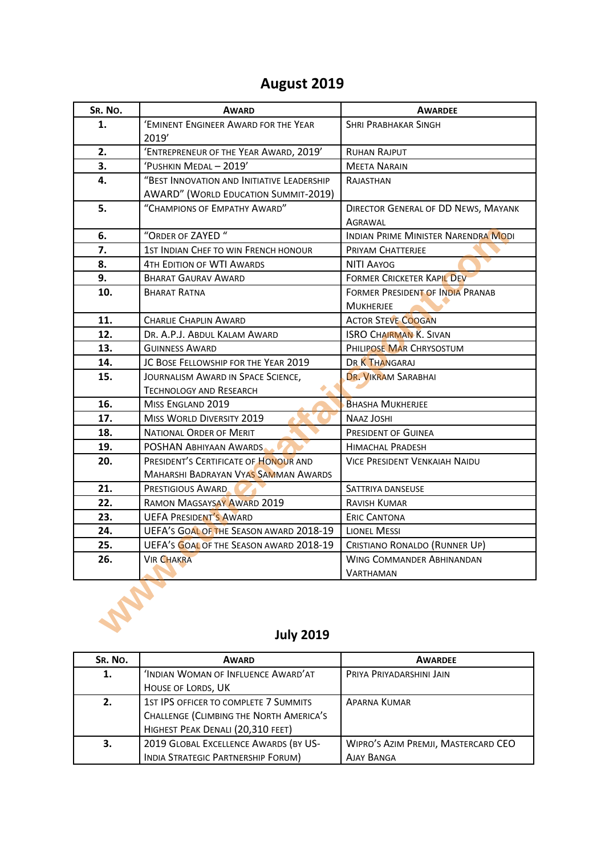# **August 2019**

| SR. No. | <b>AWARD</b>                                | <b>AWARDEE</b>                       |
|---------|---------------------------------------------|--------------------------------------|
| 1.      | 'EMINENT ENGINEER AWARD FOR THE YEAR        | <b>SHRI PRABHAKAR SINGH</b>          |
|         | 2019'                                       |                                      |
| 2.      | 'ENTREPRENEUR OF THE YEAR AWARD, 2019'      | <b>RUHAN RAJPUT</b>                  |
| 3.      | 'PUSHKIN MEDAL - 2019'                      | <b>MEETA NARAIN</b>                  |
| 4.      | "BEST INNOVATION AND INITIATIVE LEADERSHIP  | RAJASTHAN                            |
|         | <b>AWARD" (WORLD EDUCATION SUMMIT-2019)</b> |                                      |
| 5.      | "CHAMPIONS OF EMPATHY AWARD"                | DIRECTOR GENERAL OF DD NEWS, MAYANK  |
|         |                                             | AGRAWAL                              |
| 6.      | "ORDER OF ZAYED"                            | INDIAN PRIME MINISTER NARENDRA MODI  |
| 7.      | 1ST INDIAN CHEF TO WIN FRENCH HONOUR        | PRIYAM CHATTERJEE                    |
| 8.      | <b>4TH EDITION OF WTI AWARDS</b>            | <b>NITI AAYOG</b>                    |
| 9.      | <b>BHARAT GAURAV AWARD</b>                  | FORMER CRICKETER KAPIL DEV           |
| 10.     | <b>BHARAT RATNA</b>                         | FORMER PRESIDENT OF INDIA PRANAB     |
|         |                                             | <b>MUKHERJEE</b>                     |
| 11.     | <b>CHARLIE CHAPLIN AWARD</b>                | <b>ACTOR STEVE COOGAN</b>            |
| 12.     | DR. A.P.J. ABDUL KALAM AWARD                | <b>ISRO CHAIRMAN K. SIVAN</b>        |
| 13.     | <b>GUINNESS AWARD</b>                       | PHILIPOSE MAR CHRYSOSTUM             |
| 14.     | JC BOSE FELLOWSHIP FOR THE YEAR 2019        | DR K THANGARAJ                       |
| 15.     | JOURNALISM AWARD IN SPACE SCIENCE,          | DR. VIKRAM SARABHAI                  |
|         | <b>TECHNOLOGY AND RESEARCH</b>              |                                      |
| 16.     | MISS ENGLAND 2019                           | <b>BHASHA MUKHERJEE</b>              |
| 17.     | <b>MISS WORLD DIVERSITY 2019</b>            | <b>NAAZ JOSHI</b>                    |
| 18.     | NATIONAL ORDER OF MERIT                     | PRESIDENT OF GUINEA                  |
| 19.     | POSHAN ABHIYAAN AWARDS                      | <b>HIMACHAL PRADESH</b>              |
| 20.     | PRESIDENT'S CERTIFICATE OF HONOUR AND       | <b>VICE PRESIDENT VENKAIAH NAIDU</b> |
|         | <b>MAHARSHI BADRAYAN VYAS SAMMAN AWARDS</b> |                                      |
| 21.     | PRESTIGIOUS AWARD                           | SATTRIYA DANSEUSE                    |
| 22.     | RAMON MAGSAYSAY AWARD 2019                  | <b>RAVISH KUMAR</b>                  |
| 23.     | <b>UEFA PRESIDENT'S AWARD</b>               | <b>ERIC CANTONA</b>                  |
| 24.     | UEFA'S GOAL OF THE SEASON AWARD 2018-19     | <b>LIONEL MESSI</b>                  |
| 25.     | UEFA's GOAL OF THE SEASON AWARD 2018-19     | CRISTIANO RONALDO (RUNNER UP)        |
| 26.     | <b>VIR CHAKRA</b>                           | WING COMMANDER ABHINANDAN            |
|         |                                             | <b>VARTHAMAN</b>                     |
|         | <b>July 2019</b>                            |                                      |

# **July 2019**

| SR. NO. | <b>AWARD</b>                            | <b>AWARDEE</b>                      |
|---------|-----------------------------------------|-------------------------------------|
| 1.      | 'INDIAN WOMAN OF INFLUENCE AWARD'AT     | PRIYA PRIYADARSHINI JAIN            |
|         | HOUSE OF LORDS, UK                      |                                     |
| 2.      | 1ST IPS OFFICER TO COMPLETE 7 SUMMITS   | <b>APARNA KUMAR</b>                 |
|         | CHALLENGE (CLIMBING THE NORTH AMERICA'S |                                     |
|         | HIGHEST PEAK DENALI (20,310 FEET)       |                                     |
| 3.      | 2019 GLOBAL EXCELLENCE AWARDS (BY US-   | WIPRO'S AZIM PREMJI, MASTERCARD CEO |
|         | INDIA STRATEGIC PARTNERSHIP FORUM)      | <b>AJAY BANGA</b>                   |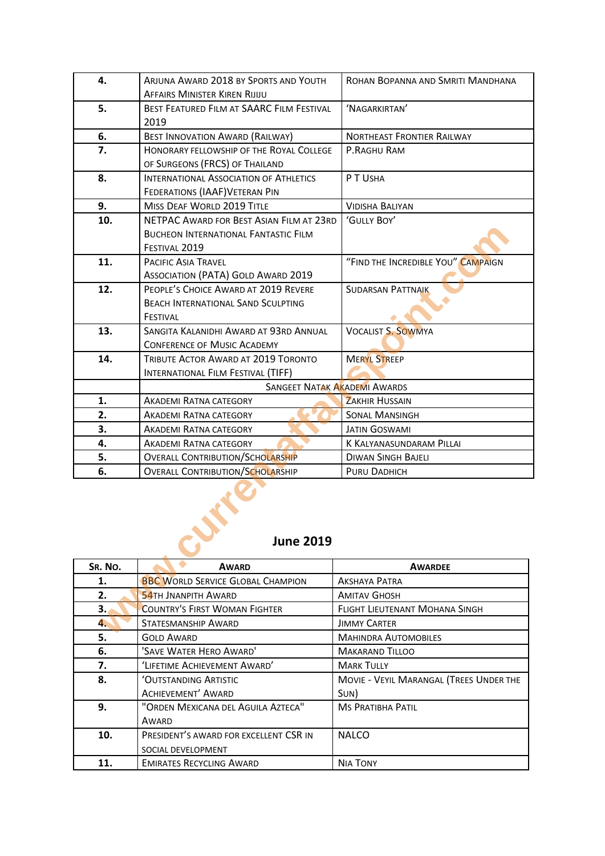| 4.               | ARJUNA AWARD 2018 BY SPORTS AND YOUTH         | ROHAN BOPANNA AND SMRITI MANDHANA   |  |
|------------------|-----------------------------------------------|-------------------------------------|--|
|                  | <b>AFFAIRS MINISTER KIREN RIJIJU</b>          |                                     |  |
| 5.               | BEST FEATURED FILM AT SAARC FILM FESTIVAL     | 'NAGARKIRTAN'                       |  |
|                  | 2019                                          |                                     |  |
| 6.               | <b>BEST INNOVATION AWARD (RAILWAY)</b>        | <b>NORTHEAST FRONTIER RAILWAY</b>   |  |
| 7.               | HONORARY FELLOWSHIP OF THE ROYAL COLLEGE      | P.RAGHU RAM                         |  |
|                  | OF SURGEONS (FRCS) OF THAILAND                |                                     |  |
| 8.               | <b>INTERNATIONAL ASSOCIATION OF ATHLETICS</b> | P T USHA                            |  |
|                  | FEDERATIONS (IAAF) VETERAN PIN                |                                     |  |
| 9.               | <b>MISS DEAF WORLD 2019 TITLE</b>             | <b>VIDISHA BALIYAN</b>              |  |
| 10.              | NETPAC AWARD FOR BEST ASIAN FILM AT 23RD      | 'GULLY BOY'                         |  |
|                  | <b>BUCHEON INTERNATIONAL FANTASTIC FILM</b>   |                                     |  |
|                  | FESTIVAL 2019                                 |                                     |  |
| 11.              | <b>PACIFIC ASIA TRAVEL</b>                    | "FIND THE INCREDIBLE YOU" CAMPAIGN  |  |
|                  | <b>ASSOCIATION (PATA) GOLD AWARD 2019</b>     |                                     |  |
| 12.              | PEOPLE'S CHOICE AWARD AT 2019 REVERE          | <b>SUDARSAN PATTNAIK</b>            |  |
|                  | <b>BEACH INTERNATIONAL SAND SCULPTING</b>     |                                     |  |
|                  | FESTIVAL                                      |                                     |  |
| 13.              | SANGITA KALANIDHI AWARD AT 93RD ANNUAL        | <b>VOCALIST S. SOWMYA</b>           |  |
|                  | <b>CONFERENCE OF MUSIC ACADEMY</b>            |                                     |  |
| 14.              | TRIBUTE ACTOR AWARD AT 2019 TORONTO           | <b>MERYL STREEP</b>                 |  |
|                  | INTERNATIONAL FILM FESTIVAL (TIFF)            |                                     |  |
|                  |                                               | <b>SANGEET NATAK AKADEMI AWARDS</b> |  |
| 1.               | <b>AKADEMI RATNA CATEGORY</b>                 | <b>ZAKHIR HUSSAIN</b>               |  |
| 2.               | AKADEMI RATNA CATEGORY                        | <b>SONAL MANSINGH</b>               |  |
| 3.               | <b>AKADEMI RATNA CATEGORY</b>                 | <b>JATIN GOSWAMI</b>                |  |
| 4.               | AKADEMI RATNA CATEGORY                        | K KALYANASUNDARAM PILLAI            |  |
| 5.               | <b>OVERALL CONTRIBUTION/SCHOLARSHIP</b>       | <b>DIWAN SINGH BAJELI</b>           |  |
| 6.               | <b>OVERALL CONTRIBUTION/SCHOLARSHIP</b>       | PURU DADHICH                        |  |
| <b>June 2019</b> |                                               |                                     |  |
| SR. No.          | <b>AWARD</b>                                  | <b>AWARDEE</b>                      |  |
| 1.               | <b>BBC WORLD SERVICE GLOBAL CHAMPION</b>      | <b>AKSHAYA PATRA</b>                |  |
| 2.               | <b>54TH JNANPITH AWARD</b>                    | <b>AMITAV GHOSH</b>                 |  |
| 3.,              | <b>COUNTRY'S FIRST WOMAN FIGHTER</b>          | FLIGHT LIEUTENANT MOHANA SINGH      |  |
| 4.               | STATESMANSHIP AWARD                           | <b>JIMMY CARTER</b>                 |  |
|                  |                                               |                                     |  |

#### **June 2019**

| SR. NO. | <b>AWARD</b>                             | <b>AWARDEE</b>                          |
|---------|------------------------------------------|-----------------------------------------|
| 1.      | <b>BBC WORLD SERVICE GLOBAL CHAMPION</b> | <b>AKSHAYA PATRA</b>                    |
| 2.      | <b>54TH JNANPITH AWARD</b>               | <b>AMITAV GHOSH</b>                     |
| 3.      | <b>COUNTRY'S FIRST WOMAN FIGHTER</b>     | <b>FLIGHT LIEUTENANT MOHANA SINGH</b>   |
| 4.      | STATESMANSHIP AWARD                      | <b>JIMMY CARTER</b>                     |
| 5.      | <b>GOLD AWARD</b>                        | <b>MAHINDRA AUTOMOBILES</b>             |
| 6.      | 'SAVE WATER HERO AWARD'                  | <b>MAKARAND TILLOO</b>                  |
| 7.      | 'LIFETIME ACHIEVEMENT AWARD'             | <b>MARK TULLY</b>                       |
| 8.      | 'OUTSTANDING ARTISTIC                    | MOVIE - VEYIL MARANGAL (TREES UNDER THE |
|         | <b>ACHIEVEMENT' AWARD</b>                | SUN)                                    |
| 9.      | "ORDEN MEXICANA DEL AGUILA AZTECA"       | <b>MS PRATIBHA PATIL</b>                |
|         | AWARD                                    |                                         |
| 10.     | PRESIDENT'S AWARD FOR EXCELLENT CSR IN   | <b>NALCO</b>                            |
|         | SOCIAL DEVELOPMENT                       |                                         |
| 11.     | <b>EMIRATES RECYCLING AWARD</b>          | <b>NIA TONY</b>                         |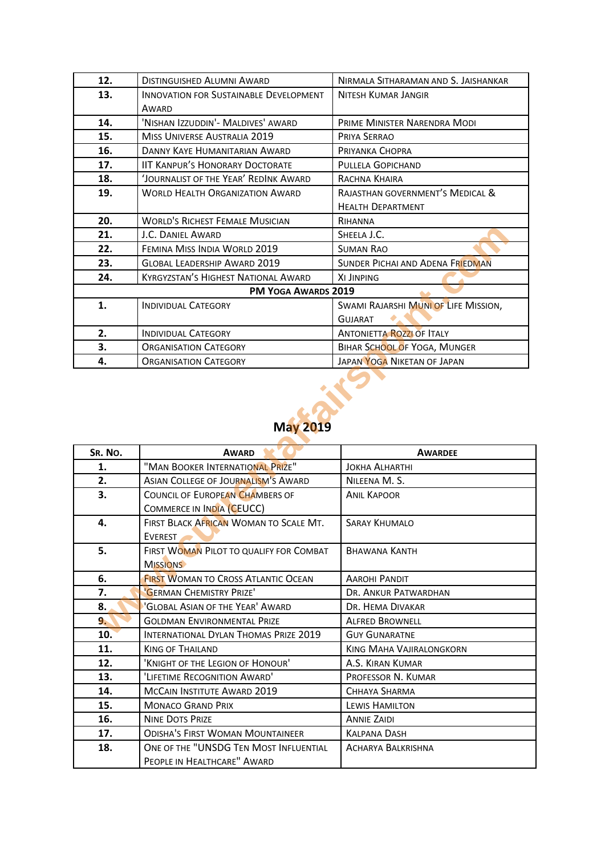| 12.                 | <b>DISTINGUISHED ALUMNI AWARD</b>             | NIRMALA SITHARAMAN AND S. JAISHANKAR    |
|---------------------|-----------------------------------------------|-----------------------------------------|
| 13.                 | <b>INNOVATION FOR SUSTAINABLE DEVELOPMENT</b> | <b>NITESH KUMAR JANGIR</b>              |
|                     | AWARD                                         |                                         |
| 14.                 | 'NISHAN IZZUDDIN'- MALDIVES' AWARD            | PRIME MINISTER NARENDRA MODI            |
| 15.                 | <b>MISS UNIVERSE AUSTRALIA 2019</b>           | PRIYA SERRAO                            |
| 16.                 | DANNY KAYE HUMANITARIAN AWARD                 | PRIYANKA CHOPRA                         |
| 17.                 | <b>IIT KANPUR'S HONORARY DOCTORATE</b>        | PULLELA GOPICHAND                       |
| 18.                 | 'JOURNALIST OF THE YEAR' REDINK AWARD         | RACHNA KHAIRA                           |
| 19.                 | <b>WORLD HEALTH ORGANIZATION AWARD</b>        | RAJASTHAN GOVERNMENT'S MEDICAL &        |
|                     |                                               | <b>HEALTH DEPARTMENT</b>                |
| 20.                 | <b>WORLD'S RICHEST FEMALE MUSICIAN</b>        | RIHANNA                                 |
| 21.                 | J.C. DANIEL AWARD                             | SHEELA J.C.                             |
| 22.                 | FEMINA MISS INDIA WORLD 2019                  | <b>SUMAN RAO</b>                        |
| 23.                 | <b>GLOBAL LEADERSHIP AWARD 2019</b>           | <b>SUNDER PICHAI AND ADENA FRIEDMAN</b> |
| 24.                 | <b>KYRGYZSTAN'S HIGHEST NATIONAL AWARD</b>    | XI JINPING                              |
| PM YOGA AWARDS 2019 |                                               |                                         |
| 1.                  | <b>INDIVIDUAL CATEGORY</b>                    | SWAMI RAJARSHI MUNI OF LIFE MISSION,    |
|                     |                                               | <b>GUJARAT</b>                          |
| 2.                  | <b>INDIVIDUAL CATEGORY</b>                    | <b>ANTONIETTA ROZZI OF ITALY</b>        |
| 3.                  | <b>ORGANISATION CATEGORY</b>                  | BIHAR SCHOOL OF YOGA, MUNGER            |
| 4.                  | <b>ORGANISATION CATEGORY</b>                  | JAPAN YOGA NIKETAN OF JAPAN             |

### **May 2019**

| 21.             | J.C. DANIEL AWARD                                                     | SHEELA J.C.                          |
|-----------------|-----------------------------------------------------------------------|--------------------------------------|
| 22.             | FEMINA MISS INDIA WORLD 2019                                          | <b>SUMAN RAO</b>                     |
| 23.             | <b>GLOBAL LEADERSHIP AWARD 2019</b>                                   | SUNDER PICHAI AND ADENA FRIEDMAN     |
| 24.             | <b>KYRGYZSTAN'S HIGHEST NATIONAL AWARD</b>                            | XI JINPING                           |
|                 | PM YOGA AWARDS 2019                                                   |                                      |
| 1.              | <b>INDIVIDUAL CATEGORY</b>                                            | SWAMI RAJARSHI MUNI OF LIFE MISSION, |
|                 |                                                                       | <b>GUJARAT</b>                       |
| 2.              | <b>INDIVIDUAL CATEGORY</b>                                            | <b>ANTONIETTA ROZZLOF ITALY</b>      |
| 3.              | <b>ORGANISATION CATEGORY</b>                                          | BIHAR SCHOOL OF YOGA, MUNGER         |
| 4.              | <b>ORGANISATION CATEGORY</b>                                          | JAPAN YOGA NIKETAN OF JAPAN          |
| <b>May 2019</b> |                                                                       |                                      |
| SR. NO.         | <b>AWARD</b>                                                          | <b>AWARDEE</b>                       |
| 1.              | "MAN BOOKER INTERNATIONAL PRIZE"                                      | <b>JOKHA ALHARTHI</b>                |
| 2.              | <b>ASIAN COLLEGE OF JOURNALISM'S AWARD</b>                            | NILEENA M. S.                        |
| 3.              | COUNCIL OF EUROPEAN CHAMBERS OF                                       | <b>ANIL KAPOOR</b>                   |
|                 | COMMERCE IN INDIA (CEUCC)                                             |                                      |
| 4.              | FIRST BLACK AFRICAN WOMAN TO SCALE MT.                                | <b>SARAY KHUMALO</b>                 |
|                 | EVEREST                                                               |                                      |
| 5.              | FIRST WOMAN PILOT TO QUALIFY FOR COMBAT                               | <b>BHAWANA KANTH</b>                 |
|                 | <b>MISSIONS</b>                                                       |                                      |
| 6.              | <b>FIRST WOMAN TO CROSS ATLANTIC OCEAN</b>                            | <b>AAROHI PANDIT</b>                 |
| 7.              | 'GERMAN CHEMISTRY PRIZE'                                              | DR. ANKUR PATWARDHAN                 |
| 8.              | 'GLOBAL ASIAN OF THE YEAR' AWARD                                      | DR. HEMA DIVAKAR                     |
| 9.              | <b>GOLDMAN ENVIRONMENTAL PRIZE</b>                                    | <b>ALFRED BROWNELL</b>               |
| 10.             | INTERNATIONAL DYLAN THOMAS PRIZE 2019                                 | <b>GUY GUNARATNE</b>                 |
| 11.             | <b>KING OF THAILAND</b>                                               | <b>KING MAHA VAJIRALONGKORN</b>      |
| 12.             | 'KNIGHT OF THE LEGION OF HONOUR'                                      | A.S. KIRAN KUMAR                     |
| 13.             | 'LIFETIME RECOGNITION AWARD'                                          | PROFESSOR N. KUMAR                   |
| 14.             | MCCAIN INSTITUTE AWARD 2019                                           | CHHAYA SHARMA                        |
| 15.             | <b>MONACO GRAND PRIX</b>                                              | LEWIS HAMILTON                       |
| 16.             | <b>NINE DOTS PRIZE</b>                                                | <b>ANNIE ZAIDI</b>                   |
| 17.             | <b>ODISHA'S FIRST WOMAN MOUNTAINEER</b>                               | <b>KALPANA DASH</b>                  |
| 18.             | ONE OF THE "UNSDG TEN MOST INFLUENTIAL<br>PEOPLE IN HEALTHCARE" AWARD | <b>ACHARYA BALKRISHNA</b>            |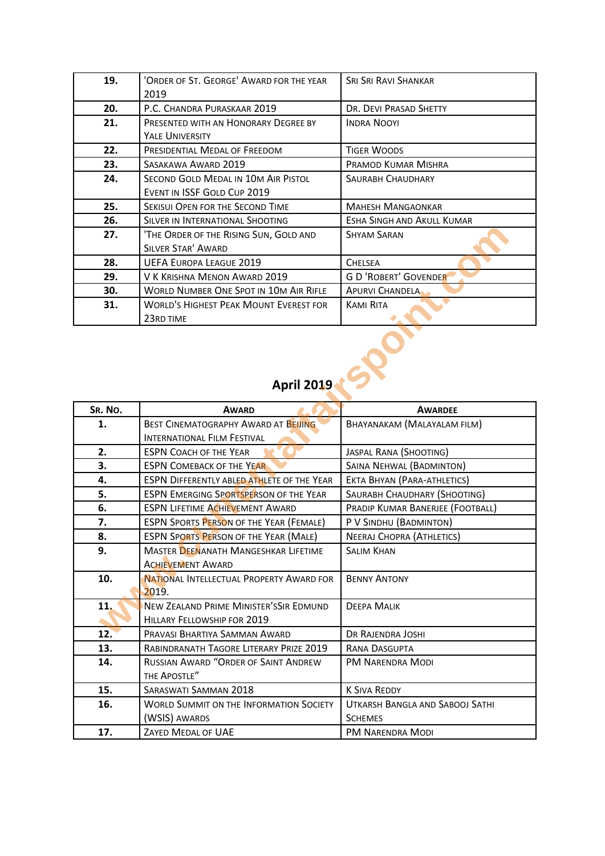| 19. | 'ORDER OF ST. GEORGE' AWARD FOR THE YEAR | <b>SRI SRI RAVI SHANKAR</b>  |
|-----|------------------------------------------|------------------------------|
|     | 2019                                     |                              |
| 20. | P.C. CHANDRA PURASKAAR 2019              | DR. DEVI PRASAD SHETTY       |
| 21. | PRESENTED WITH AN HONORARY DEGREE BY     | <b>INDRA NOOYI</b>           |
|     | <b>YALE UNIVERSITY</b>                   |                              |
| 22. | PRESIDENTIAL MEDAL OF FREEDOM            | <b>TIGER WOODS</b>           |
| 23. | SASAKAWA AWARD 2019                      | PRAMOD KUMAR MISHRA          |
| 24. | SECOND GOLD MEDAL IN 10M AIR PISTOL      | <b>SAURABH CHAUDHARY</b>     |
|     | EVENT IN ISSF GOLD CUP 2019              |                              |
| 25. | SEKISUI OPEN FOR THE SECOND TIME         | <b>MAHESH MANGAONKAR</b>     |
| 26. | SILVER IN INTERNATIONAL SHOOTING         | ESHA SINGH AND AKULL KUMAR   |
| 27. | 'THE ORDER OF THE RISING SUN, GOLD AND   | <b>SHYAM SARAN</b>           |
|     | <b>SILVER STAR' AWARD</b>                |                              |
| 28. | <b>UEFA EUROPA LEAGUE 2019</b>           | <b>CHELSEA</b>               |
| 29. | V K KRISHNA MENON AWARD 2019             | <b>G D 'ROBERT' GOVENDER</b> |
| 30. | WORLD NUMBER ONE SPOT IN 10M AIR RIFLE   | <b>APURVI CHANDELA</b>       |
| 31. | WORLD'S HIGHEST PEAK MOUNT EVEREST FOR   | <b>KAMI RITA</b>             |
|     | 23RD TIME                                |                              |

### **April 2019**

| 27.     | 'THE ORDER OF THE RISING SUN, GOLD AND            | <b>SHYAM SARAN</b>                 |
|---------|---------------------------------------------------|------------------------------------|
|         | <b>SILVER STAR' AWARD</b>                         |                                    |
| 28.     | <b>UEFA EUROPA LEAGUE 2019</b>                    | <b>CHELSEA</b>                     |
| 29.     | V K KRISHNA MENON AWARD 2019                      | <b>G D 'ROBERT' GOVENDER</b>       |
| 30.     | <b>WORLD NUMBER ONE SPOT IN 10M AIR RIFLE</b>     | <b>APURVI CHANDELA</b>             |
| 31.     | <b>WORLD'S HIGHEST PEAK MOUNT EVEREST FOR</b>     | <b>KAMI RITA</b>                   |
|         | 23RD TIME                                         |                                    |
|         |                                                   |                                    |
|         | <b>April 2019</b>                                 |                                    |
| SR. No. | <b>AWARD</b>                                      | <b>AWARDEE</b>                     |
| 1.      | BEST CINEMATOGRAPHY AWARD AT BEIJING              | <b>BHAYANAKAM (MALAYALAM FILM)</b> |
|         | <b>INTERNATIONAL FILM FESTIVAL</b>                |                                    |
| 2.      | <b>ESPN COACH OF THE YEAR</b>                     | JASPAL RANA (SHOOTING)             |
| 3.      | <b>ESPN COMEBACK OF THE YEAR</b>                  | SAINA NEHWAL (BADMINTON)           |
| 4.      | <b>ESPN DIFFERENTLY ABLED ATHLETE OF THE YEAR</b> | EKTA BHYAN (PARA-ATHLETICS)        |
| 5.      | <b>ESPN EMERGING SPORTSPERSON OF THE YEAR</b>     | SAURABH CHAUDHARY (SHOOTING)       |
| 6.      | <b>ESPN LIFETIME ACHIEVEMENT AWARD</b>            | PRADIP KUMAR BANERJEE (FOOTBALL)   |
| 7.      | <b>ESPN SPORTS PERSON OF THE YEAR (FEMALE)</b>    | P V SINDHU (BADMINTON)             |
| 8.      | <b>ESPN SPORTS PERSON OF THE YEAR (MALE)</b>      | <b>NEERAJ CHOPRA (ATHLETICS)</b>   |
| 9.      | <b>MASTER DEENANATH MANGESHKAR LIFETIME</b>       | <b>SALIM KHAN</b>                  |
|         | <b>ACHIEVEMENT AWARD</b>                          |                                    |
| 10.     | NATIONAL INTELLECTUAL PROPERTY AWARD FOR          | <b>BENNY ANTONY</b>                |
|         | 2019.                                             |                                    |
| 11.     | NEW ZEALAND PRIME MINISTER'SSIR EDMUND            | <b>DEEPA MALIK</b>                 |
|         | HILLARY FELLOWSHIP FOR 2019                       |                                    |
| 12.     | PRAVASI BHARTIYA SAMMAN AWARD                     | DR RAJENDRA JOSHI                  |
| 13.     | RABINDRANATH TAGORE LITERARY PRIZE 2019           | RANA DASGUPTA                      |
| 14.     | RUSSIAN AWARD "ORDER OF SAINT ANDREW              | PM NARENDRA MODI                   |
|         | THE APOSTLE"                                      |                                    |
| 15.     | SARASWATI SAMMAN 2018                             | <b>K SIVA REDDY</b>                |
| 16.     | <b>WORLD SUMMIT ON THE INFORMATION SOCIETY</b>    | UTKARSH BANGLA AND SABOOJ SATHI    |
|         | (WSIS) AWARDS                                     | <b>SCHEMES</b>                     |
| 17.     | ZAYED MEDAL OF UAE                                | <b>PM NARENDRA MODI</b>            |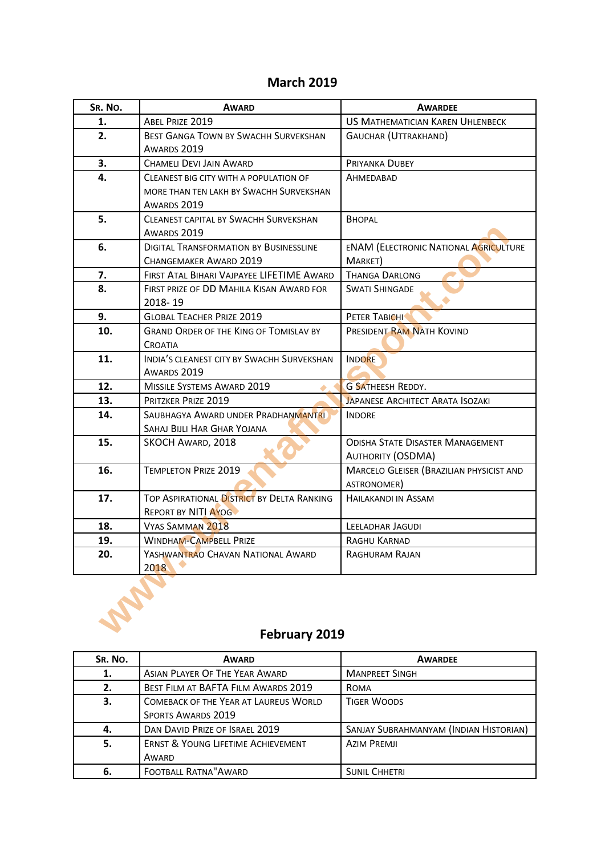#### **March 2019**

| SR. No. | <b>AWARD</b>                                                             | <b>AWARDEE</b>                                                      |
|---------|--------------------------------------------------------------------------|---------------------------------------------------------------------|
| 1.      | ABEL PRIZE 2019                                                          | <b>US MATHEMATICIAN KAREN UHLENBECK</b>                             |
| 2.      | <b>BEST GANGA TOWN BY SWACHH SURVEKSHAN</b><br>AWARDS 2019               | <b>GAUCHAR (UTTRAKHAND)</b>                                         |
| 3.      | <b>CHAMELI DEVI JAIN AWARD</b>                                           | PRIYANKA DUBEY                                                      |
| 4.      | CLEANEST BIG CITY WITH A POPULATION OF                                   | AHMEDABAD                                                           |
|         | MORE THAN TEN LAKH BY SWACHH SURVEKSHAN<br>AWARDS 2019                   |                                                                     |
| 5.      | <b>CLEANEST CAPITAL BY SWACHH SURVEKSHAN</b><br>AWARDS 2019              | <b>BHOPAL</b>                                                       |
| 6.      | <b>DIGITAL TRANSFORMATION BY BUSINESSLINE</b><br>CHANGEMAKER AWARD 2019  | <b>ENAM (ELECTRONIC NATIONAL AGRICULTURE</b><br>MARKET)             |
| 7.      | FIRST ATAL BIHARI VAJPAYEE LIFETIME AWARD                                | <b>THANGA DARLONG</b>                                               |
| 8.      | FIRST PRIZE OF DD MAHILA KISAN AWARD FOR<br>2018-19                      | <b>SWATI SHINGADE</b>                                               |
| 9.      | <b>GLOBAL TEACHER PRIZE 2019</b>                                         | PETER TABICHI                                                       |
| 10.     | <b>GRAND ORDER OF THE KING OF TOMISLAV BY</b><br>CROATIA                 | PRESIDENT RAM NATH KOVIND                                           |
| 11.     | INDIA'S CLEANEST CITY BY SWACHH SURVEKSHAN<br>AWARDS 2019                | <b>INDORE</b>                                                       |
| 12.     | MISSILE SYSTEMS AWARD 2019                                               | <b>G SATHEESH REDDY.</b>                                            |
| 13.     | PRITZKER PRIZE 2019                                                      | <b>JAPANESE ARCHITECT ARATA ISOZAKI</b>                             |
| 14.     | SAUBHAGYA AWARD UNDER PRADHANMANTRI<br>SAHAJ BIJLI HAR GHAR YOJANA       | <b>INDORE</b>                                                       |
| 15.     | SKOCH AWARD, 2018                                                        | <b>ODISHA STATE DISASTER MANAGEMENT</b><br><b>AUTHORITY (OSDMA)</b> |
| 16.     | <b>TEMPLETON PRIZE 2019</b>                                              | MARCELO GLEISER (BRAZILIAN PHYSICIST AND<br>ASTRONOMER)             |
| 17.     | TOP ASPIRATIONAL DISTRICT BY DELTA RANKING<br><b>REPORT BY NITI AYOG</b> | HAILAKANDI IN ASSAM                                                 |
| 18.     | <b>VYAS SAMMAN 2018</b>                                                  | <b>LEELADHAR JAGUDI</b>                                             |
| 19.     | <b>WINDHAM-CAMPBELL PRIZE</b>                                            | RAGHU KARNAD                                                        |
| 20.     | YASHWANTRAO CHAVAN NATIONAL AWARD<br>2018                                | RAGHURAM RAJAN                                                      |
|         | February 2019                                                            |                                                                     |



### **February 2019**

| SR. NO. | <b>AWARD</b>                                  | <b>AWARDEE</b>                         |
|---------|-----------------------------------------------|----------------------------------------|
| 1.      | ASIAN PLAYER OF THE YEAR AWARD                | <b>MANPREET SINGH</b>                  |
| 2.      | BEST FILM AT BAFTA FILM AWARDS 2019           | <b>ROMA</b>                            |
| 3.      | <b>COMEBACK OF THE YEAR AT LAUREUS WORLD</b>  | <b>TIGER WOODS</b>                     |
|         | <b>SPORTS AWARDS 2019</b>                     |                                        |
| 4.      | DAN DAVID PRIZE OF ISRAEL 2019                | SANJAY SUBRAHMANYAM (INDIAN HISTORIAN) |
| 5.      | <b>ERNST &amp; YOUNG LIFETIME ACHIEVEMENT</b> | <b>AZIM PREMJI</b>                     |
|         | AWARD                                         |                                        |
| 6.      | <b>FOOTBALL RATNA" AWARD</b>                  | <b>SUNIL CHHETRI</b>                   |